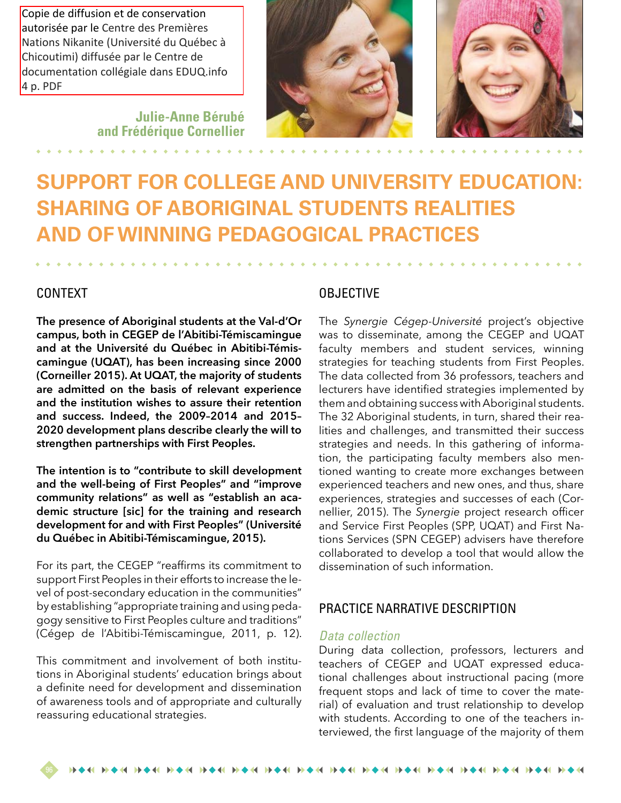Copie de diffusion et de conservation autorisée par le Centre des Premières Nations Nikanite (Université du Québec à Chicoutimi) diffusée par le Centre de documentation collégiale dans EDUQ.info 4 p. PDF

> **Julie-Anne Bérubé and Frédérique Cornellier**





# **SUPPORT FOR COLLEGE AND UNIVERSITY EDUCATION: SHARING OF ABORIGINAL STUDENTS REALITIES AND OF WINNING PEDAGOGICAL PRACTICES**

#### CONTEXT

**The presence of Aboriginal students at the Val-d'Or campus, both in CEGEP de l'Abitibi-Témiscamingue and at the Université du Québec in Abitibi-Témiscamingue (UQAT), has been increasing since 2000 (Corneiller 2015). At UQAT, the majority of students are admitted on the basis of relevant experience and the institution wishes to assure their retention and success. Indeed, the 2009–2014 and 2015– 2020 development plans describe clearly the will to strengthen partnerships with First Peoples.**

**The intention is to "contribute to skill development and the well-being of First Peoples" and "improve community relations" as well as "establish an academic structure [sic] for the training and research development for and with First Peoples" (Université du Québec in Abitibi-Témiscamingue, 2015).**

For its part, the CEGEP "reaffirms its commitment to support First Peoples in their efforts to increase the level of post-secondary education in the communities" by establishing "appropriate training and using pedagogy sensitive to First Peoples culture and traditions" (Cégep de l'Abitibi-Témiscamingue, 2011, p. 12).

This commitment and involvement of both institutions in Aboriginal students' education brings about a definite need for development and dissemination of awareness tools and of appropriate and culturally reassuring educational strategies.

#### **OBJECTIVE**

The *Synergie Cégep-Université* project's objective was to disseminate, among the CEGEP and UQAT faculty members and student services, winning strategies for teaching students from First Peoples. The data collected from 36 professors, teachers and lecturers have identified strategies implemented by them and obtaining success with Aboriginal students. The 32 Aboriginal students, in turn, shared their realities and challenges, and transmitted their success strategies and needs. In this gathering of information, the participating faculty members also mentioned wanting to create more exchanges between experienced teachers and new ones, and thus, share experiences, strategies and successes of each (Cornellier, 2015). The *Synergie* project research officer and Service First Peoples (SPP, UQAT) and First Nations Services (SPN CEGEP) advisers have therefore collaborated to develop a tool that would allow the dissemination of such information.

#### PRACTICE NARRATIVE DESCRIPTION

#### *Data collection*

During data collection, professors, lecturers and teachers of CEGEP and UQAT expressed educational challenges about instructional pacing (more frequent stops and lack of time to cover the material) of evaluation and trust relationship to develop with students. According to one of the teachers interviewed, the first language of the majority of them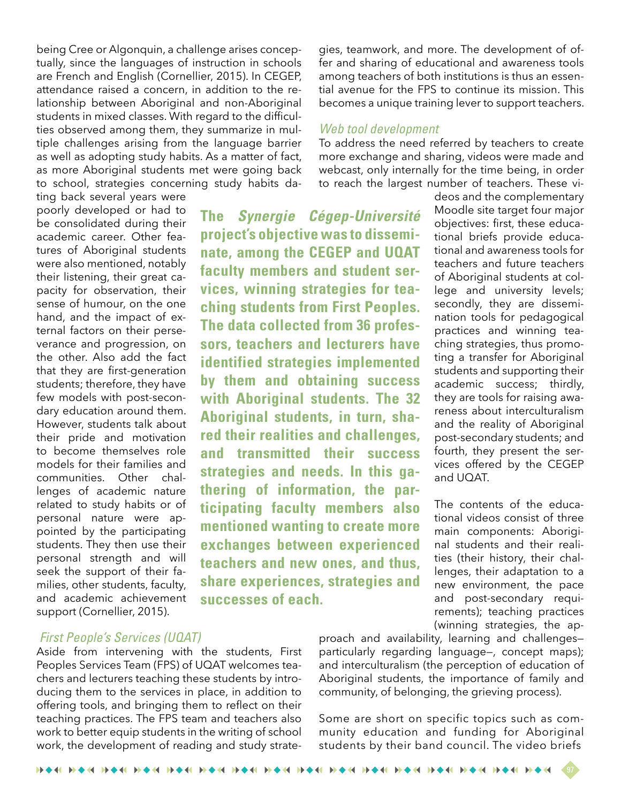being Cree or Algonquin, a challenge arises conceptually, since the languages of instruction in schools are French and English (Cornellier, 2015). In CEGEP, attendance raised a concern, in addition to the relationship between Aboriginal and non-Aboriginal students in mixed classes. With regard to the difficulties observed among them, they summarize in multiple challenges arising from the language barrier as well as adopting study habits. As a matter of fact, as more Aboriginal students met were going back to school, strategies concerning study habits dating back several years were

poorly developed or had to be consolidated during their academic career. Other features of Aboriginal students were also mentioned, notably their listening, their great capacity for observation, their sense of humour, on the one hand, and the impact of external factors on their perseverance and progression, on the other. Also add the fact that they are first-generation students; therefore, they have few models with post-secondary education around them. However, students talk about their pride and motivation to become themselves role models for their families and communities. Other challenges of academic nature related to study habits or of personal nature were appointed by the participating students. They then use their personal strength and will seek the support of their families, other students, faculty, and academic achievement support (Cornellier, 2015).

### **The** *Synergie Cégep-Université*  **project's objective was to disseminate, among the CEGEP and UQAT faculty members and student services, winning strategies for teaching students from First Peoples. The data collected from 36 professors, teachers and lecturers have identified strategies implemented by them and obtaining success with Aboriginal students. The 32 Aboriginal students, in turn, shared their realities and challenges, and transmitted their success strategies and needs. In this gathering of information, the participating faculty members also mentioned wanting to create more exchanges between experienced teachers and new ones, and thus, share experiences, strategies and successes of each.**

#### *First People's Services (UQAT)*

Aside from intervening with the students, First Peoples Services Team (FPS) of UQAT welcomes teachers and lecturers teaching these students by introducing them to the services in place, in addition to offering tools, and bringing them to reflect on their teaching practices. The FPS team and teachers also work to better equip students in the writing of school work, the development of reading and study strategies, teamwork, and more. The development of offer and sharing of educational and awareness tools among teachers of both institutions is thus an essential avenue for the FPS to continue its mission. This becomes a unique training lever to support teachers.

#### *Web tool development*

To address the need referred by teachers to create more exchange and sharing, videos were made and webcast, only internally for the time being, in order to reach the largest number of teachers. These vi-

> deos and the complementary Moodle site target four major objectives: first, these educational briefs provide educational and awareness tools for teachers and future teachers of Aboriginal students at college and university levels; secondly, they are dissemination tools for pedagogical practices and winning teaching strategies, thus promoting a transfer for Aboriginal students and supporting their academic success; thirdly, they are tools for raising awareness about interculturalism and the reality of Aboriginal post-secondary students; and fourth, they present the services offered by the CEGEP and UQAT.

> > The contents of the educational videos consist of three main components: Aboriginal students and their realities (their history, their challenges, their adaptation to a new environment, the pace and post-secondary requirements); teaching practices (winning strategies, the ap-

proach and availability, learning and challenges particularly regarding language—, concept maps); and interculturalism (the perception of education of Aboriginal students, the importance of family and community, of belonging, the grieving process).

Some are short on specific topics such as community education and funding for Aboriginal students by their band council. The video briefs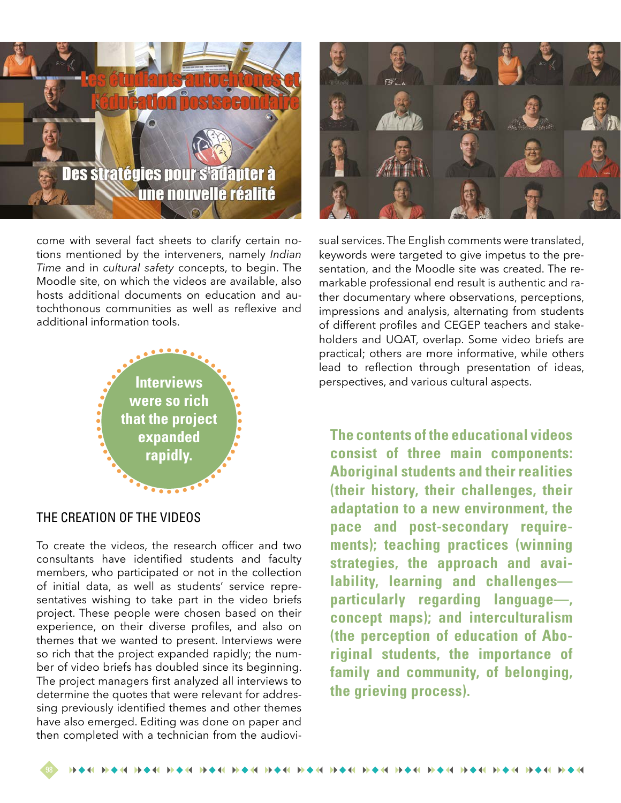## **Des stratégies pour s'adapter à** une nouvelle réalité

come with several fact sheets to clarify certain notions mentioned by the interveners, namely *Indian Time* and in *cultural safety* concepts, to begin. The Moodle site, on which the videos are available, also hosts additional documents on education and autochthonous communities as well as reflexive and additional information tools.



#### THE CREATION OF THE VIDEOS

To create the videos, the research officer and two consultants have identified students and faculty members, who participated or not in the collection of initial data, as well as students' service representatives wishing to take part in the video briefs project. These people were chosen based on their experience, on their diverse profiles, and also on themes that we wanted to present. Interviews were so rich that the project expanded rapidly; the number of video briefs has doubled since its beginning. The project managers first analyzed all interviews to determine the quotes that were relevant for addressing previously identified themes and other themes have also emerged. Editing was done on paper and then completed with a technician from the audiovi-



sual services. The English comments were translated, keywords were targeted to give impetus to the presentation, and the Moodle site was created. The remarkable professional end result is authentic and rather documentary where observations, perceptions, impressions and analysis, alternating from students of different profiles and CEGEP teachers and stakeholders and UQAT, overlap. Some video briefs are practical; others are more informative, while others lead to reflection through presentation of ideas, **Interviews oriently constructed by the expectives, and various cultural aspects.** 

> **The contents of the educational videos consist of three main components: Aboriginal students and their realities (their history, their challenges, their adaptation to a new environment, the pace and post-secondary requirements); teaching practices (winning strategies, the approach and availability, learning and challenges particularly regarding language—, concept maps); and interculturalism (the perception of education of Aboriginal students, the importance of family and community, of belonging, the grieving process).**